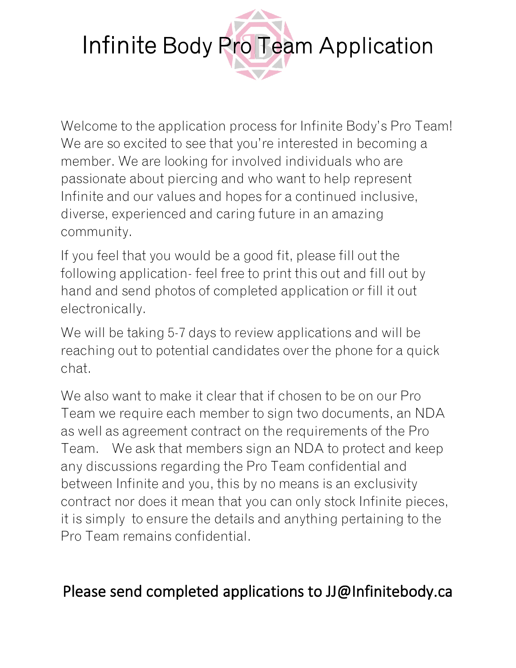

Welcome to the application process for Infinite Body's Pro Team! We are so excited to see that you're interested in becoming a member. We are looking for involved individuals who are passionate about piercing and who want to help represent Infinite and our values and hopes for a continued inclusive, diverse, experienced and caring future in an amazing community.

If you feel that you would be a good fit, please fill out the following application- feel free to print this out and fill out by hand and send photos of completed application or fill it out electronically.

We will be taking 5-7 days to review applications and will be reaching out to potential candidates over the phone for a quick chat.

We also want to make it clear that if chosen to be on our Pro Team we require each member to sign two documents, an NDA as well as agreement contract on the requirements of the Pro Team. We ask that members sign an NDA to protect and keep any discussions regarding the Pro Team confidential and between Infinite and you, this by no means is an exclusivity contract nor does it mean that you can only stock Infinite pieces, it is simply to ensure the details and anything pertaining to the Pro Team remains confidential.

## Please send completed applications to JJ@Infinitebody.ca